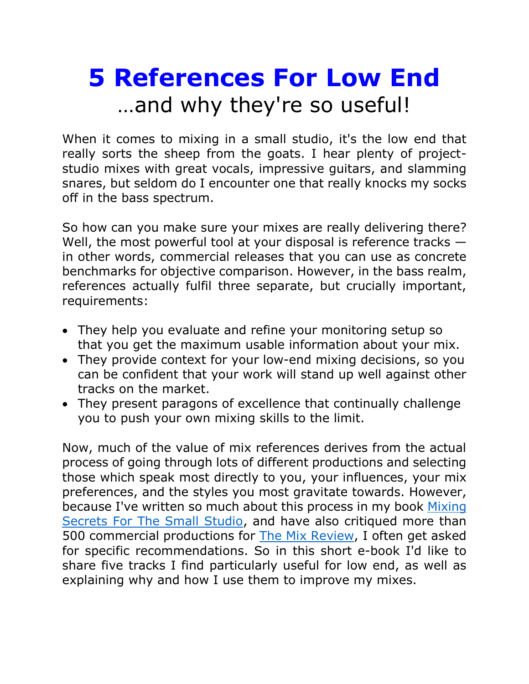# **5 References For Low End** …and why they're so useful!

When it comes to mixing in a small studio, it's the low end that really sorts the sheep from the goats. I hear plenty of projectstudio mixes with great vocals, impressive guitars, and slamming snares, but seldom do I encounter one that really knocks my socks off in the bass spectrum.

So how can you make sure your mixes are really delivering there? Well, the most powerful tool at your disposal is reference tracks  $$ in other words, commercial releases that you can use as concrete benchmarks for objective comparison. However, in the bass realm, references actually fulfil three separate, but crucially important, requirements:

- They help you evaluate and refine your monitoring setup so that you get the maximum usable information about your mix.
- They provide context for your low-end mixing decisions, so you can be confident that your work will stand up well against other tracks on the market.
- They present paragons of excellence that continually challenge you to push your own mixing skills to the limit.

Now, much of the value of mix references derives from the actual process of going through lots of different productions and selecting those which speak most directly to you, your influences, your mix preferences, and the styles you most gravitate towards. However, because I've written so much about this process in my book [Mixing](https://cambridge-mt.com/ms/main/)  [Secrets For The Small Studio,](https://cambridge-mt.com/ms/main/) and have also critiqued more than 500 commercial productions for [The Mix Review,](https://themixreview.org/) I often get asked for specific recommendations. So in this short e-book I'd like to share five tracks I find particularly useful for low end, as well as explaining why and how I use them to improve my mixes.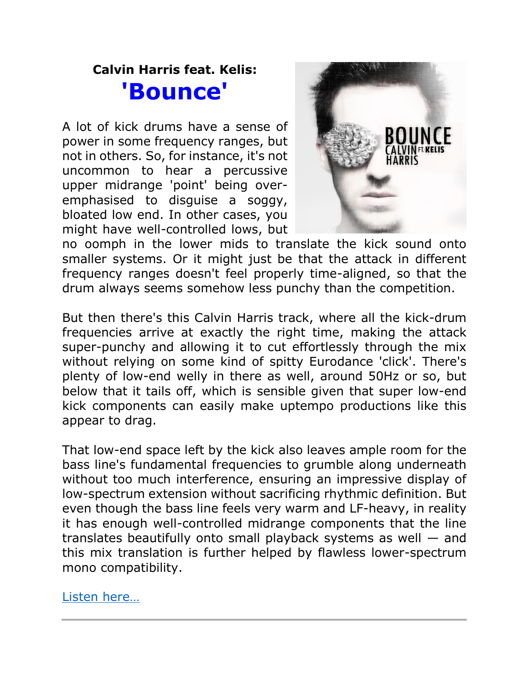## **Calvin Harris feat. Kelis: 'Bounce'**

A lot of kick drums have a sense of power in some frequency ranges, but not in others. So, for instance, it's not uncommon to hear a percussive upper midrange 'point' being overemphasised to disguise a soggy, bloated low end. In other cases, you might have well-controlled lows, but



no oomph in the lower mids to translate the kick sound onto smaller systems. Or it might just be that the attack in different frequency ranges doesn't feel properly time-aligned, so that the drum always seems somehow less punchy than the competition.

But then there's this Calvin Harris track, where all the kick-drum frequencies arrive at exactly the right time, making the attack super-punchy and allowing it to cut effortlessly through the mix without relying on some kind of spitty Eurodance 'click'. There's plenty of low-end welly in there as well, around 50Hz or so, but below that it tails off, which is sensible given that super low-end kick components can easily make uptempo productions like this appear to drag.

That low-end space left by the kick also leaves ample room for the bass line's fundamental frequencies to grumble along underneath without too much interference, ensuring an impressive display of low-spectrum extension without sacrificing rhythmic definition. But even though the bass line feels very warm and LF-heavy, in reality it has enough well-controlled midrange components that the line translates beautifully onto small playback systems as well — and this mix translation is further helped by flawless lower-spectrum mono compatibility.

[Listen here](https://themixreview.org/reviews/bounce/)…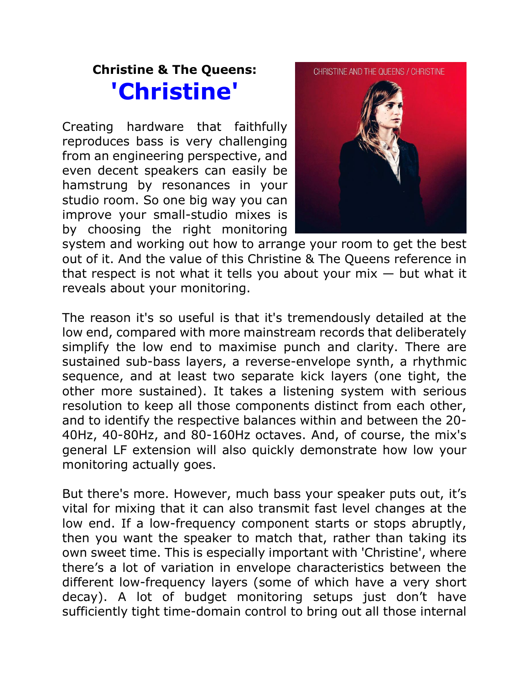### **Christine & The Queens: 'Christine'**

Creating hardware that faithfully reproduces bass is very challenging from an engineering perspective, and even decent speakers can easily be hamstrung by resonances in your studio room. So one big way you can improve your small-studio mixes is by choosing the right monitoring



system and working out how to arrange your room to get the best out of it. And the value of this Christine & The Queens reference in that respect is not what it tells you about your  $mix - but$  what it reveals about your monitoring.

The reason it's so useful is that it's tremendously detailed at the low end, compared with more mainstream records that deliberately simplify the low end to maximise punch and clarity. There are sustained sub-bass layers, a reverse-envelope synth, a rhythmic sequence, and at least two separate kick layers (one tight, the other more sustained). It takes a listening system with serious resolution to keep all those components distinct from each other, and to identify the respective balances within and between the 20- 40Hz, 40-80Hz, and 80-160Hz octaves. And, of course, the mix's general LF extension will also quickly demonstrate how low your monitoring actually goes.

But there's more. However, much bass your speaker puts out, it's vital for mixing that it can also transmit fast level changes at the low end. If a low-frequency component starts or stops abruptly, then you want the speaker to match that, rather than taking its own sweet time. This is especially important with 'Christine', where there's a lot of variation in envelope characteristics between the different low-frequency layers (some of which have a very short decay). A lot of budget monitoring setups just don't have sufficiently tight time-domain control to bring out all those internal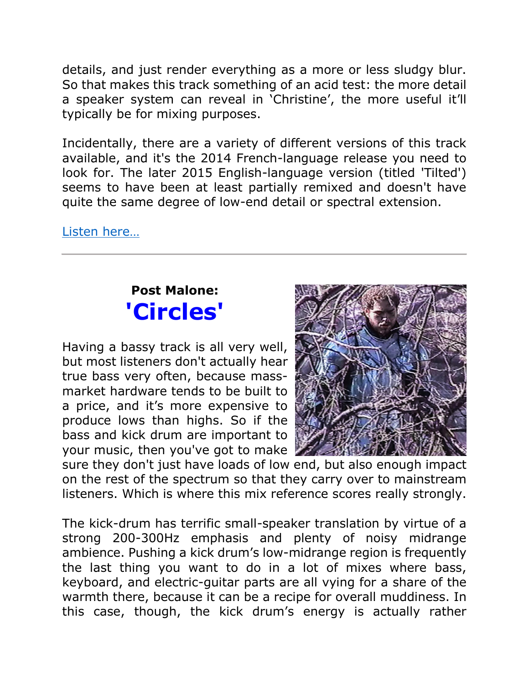details, and just render everything as a more or less sludgy blur. So that makes this track something of an acid test: the more detail a speaker system can reveal in 'Christine', the more useful it'll typically be for mixing purposes.

Incidentally, there are a variety of different versions of this track available, and it's the 2014 French-language release you need to look for. The later 2015 English-language version (titled 'Tilted') seems to have been at least partially remixed and doesn't have quite the same degree of low-end detail or spectral extension.

[Listen here](https://youtu.be/rs40yxHjTxQ)…

## **Post Malone: 'Circles'**

Having a bassy track is all very well, but most listeners don't actually hear true bass very often, because massmarket hardware tends to be built to a price, and it's more expensive to produce lows than highs. So if the bass and kick drum are important to your music, then you've got to make



sure they don't just have loads of low end, but also enough impact on the rest of the spectrum so that they carry over to mainstream listeners. Which is where this mix reference scores really strongly.

The kick-drum has terrific small-speaker translation by virtue of a strong 200-300Hz emphasis and plenty of noisy midrange ambience. Pushing a kick drum's low-midrange region is frequently the last thing you want to do in a lot of mixes where bass, keyboard, and electric-guitar parts are all vying for a share of the warmth there, because it can be a recipe for overall muddiness. In this case, though, the kick drum's energy is actually rather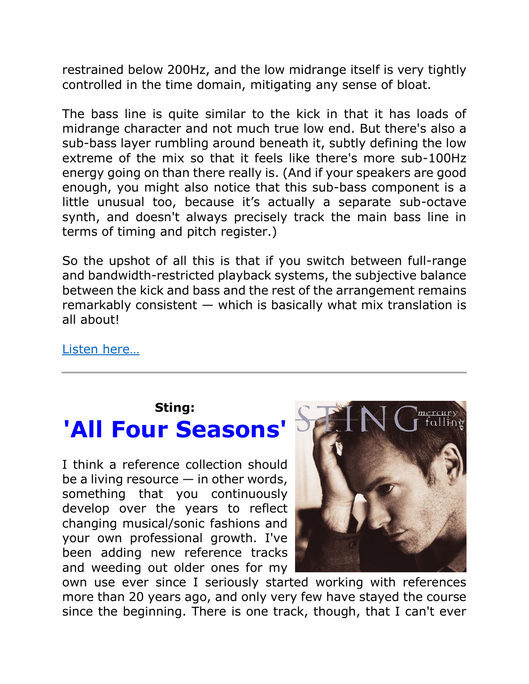restrained below 200Hz, and the low midrange itself is very tightly controlled in the time domain, mitigating any sense of bloat.

The bass line is quite similar to the kick in that it has loads of midrange character and not much true low end. But there's also a sub-bass layer rumbling around beneath it, subtly defining the low extreme of the mix so that it feels like there's more sub-100Hz energy going on than there really is. (And if your speakers are good enough, you might also notice that this sub-bass component is a little unusual too, because it's actually a separate sub-octave synth, and doesn't always precisely track the main bass line in terms of timing and pitch register.)

So the upshot of all this is that if you switch between full-range and bandwidth-restricted playback systems, the subjective balance between the kick and bass and the rest of the arrangement remains remarkably consistent  $-$  which is basically what mix translation is all about!

[Listen here](https://themixreview.org/reviews/circles/)…

#### **Sting:**

# **'All Four Seasons'**

I think a reference collection should be a living resource  $-$  in other words, something that you continuously develop over the years to reflect changing musical/sonic fashions and your own professional growth. I've been adding new reference tracks and weeding out older ones for my



own use ever since I seriously started working with references more than 20 years ago, and only very few have stayed the course since the beginning. There is one track, though, that I can't ever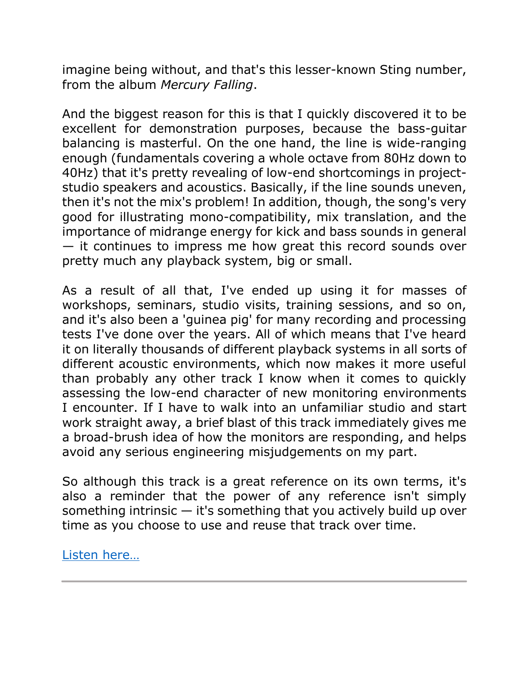imagine being without, and that's this lesser-known Sting number, from the album *Mercury Falling*.

And the biggest reason for this is that I quickly discovered it to be excellent for demonstration purposes, because the bass-guitar balancing is masterful. On the one hand, the line is wide-ranging enough (fundamentals covering a whole octave from 80Hz down to 40Hz) that it's pretty revealing of low-end shortcomings in projectstudio speakers and acoustics. Basically, if the line sounds uneven, then it's not the mix's problem! In addition, though, the song's very good for illustrating mono-compatibility, mix translation, and the importance of midrange energy for kick and bass sounds in general — it continues to impress me how great this record sounds over pretty much any playback system, big or small.

As a result of all that, I've ended up using it for masses of workshops, seminars, studio visits, training sessions, and so on, and it's also been a 'guinea pig' for many recording and processing tests I've done over the years. All of which means that I've heard it on literally thousands of different playback systems in all sorts of different acoustic environments, which now makes it more useful than probably any other track I know when it comes to quickly assessing the low-end character of new monitoring environments I encounter. If I have to walk into an unfamiliar studio and start work straight away, a brief blast of this track immediately gives me a broad-brush idea of how the monitors are responding, and helps avoid any serious engineering misjudgements on my part.

So although this track is a great reference on its own terms, it's also a reminder that the power of any reference isn't simply something intrinsic  $-$  it's something that you actively build up over time as you choose to use and reuse that track over time.

[Listen here](https://youtu.be/YaG_Lym4Zsw)…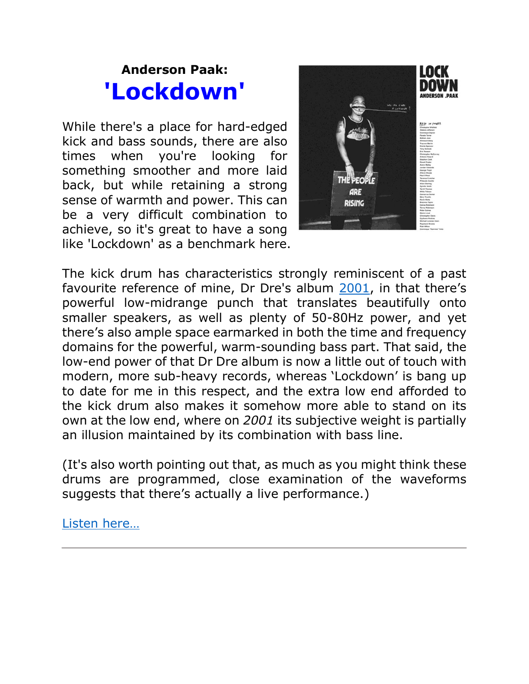## **Anderson Paak: 'Lockdown'**

While there's a place for hard-edged kick and bass sounds, there are also times when you're looking for something smoother and more laid back, but while retaining a strong sense of warmth and power. This can be a very difficult combination to achieve, so it's great to have a song like 'Lockdown' as a benchmark here.



The kick drum has characteristics strongly reminiscent of a past favourite reference of mine, Dr Dre's album [2001,](https://en.wikipedia.org/wiki/2001_(Dr._Dre_album)) in that there's powerful low-midrange punch that translates beautifully onto smaller speakers, as well as plenty of 50-80Hz power, and yet there's also ample space earmarked in both the time and frequency domains for the powerful, warm-sounding bass part. That said, the low-end power of that Dr Dre album is now a little out of touch with modern, more sub-heavy records, whereas 'Lockdown' is bang up to date for me in this respect, and the extra low end afforded to the kick drum also makes it somehow more able to stand on its own at the low end, where on *2001* its subjective weight is partially an illusion maintained by its combination with bass line.

(It's also worth pointing out that, as much as you might think these drums are programmed, close examination of the waveforms suggests that there's actually a live performance.)

[Listen here](https://themixreview.org/reviews/lockdown/)…